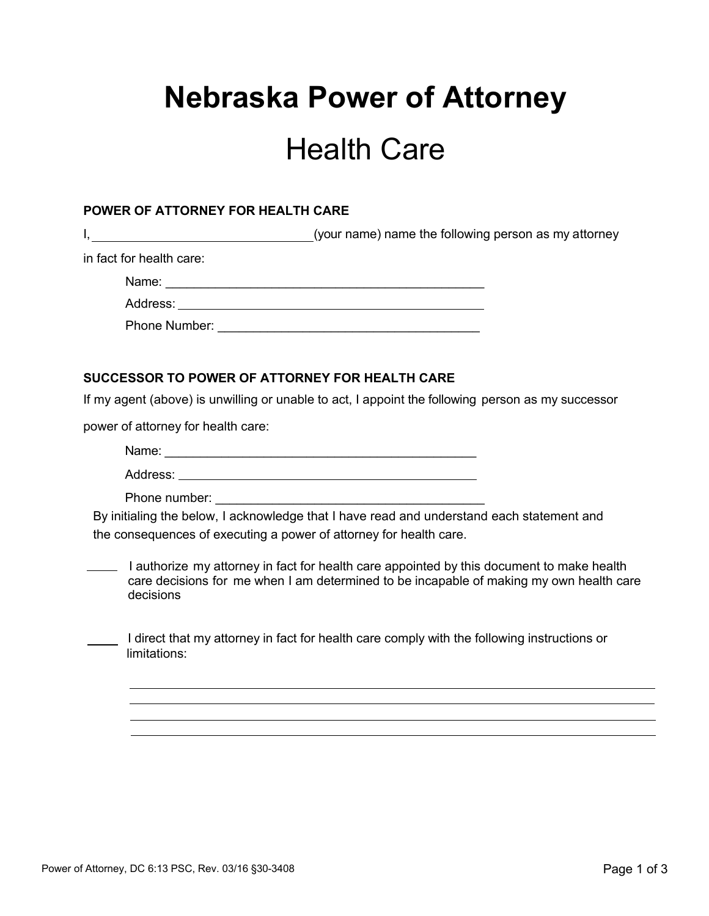## **Nebraska Power of Attorney**

## Health Care

## **POWER OF ATTORNEY FOR HEALTH CARE**

I, the same of the total of the following person as my attorney in fact for health care: Name: \_\_\_\_\_\_\_\_\_\_\_\_\_\_\_\_\_\_\_\_\_\_\_\_\_\_\_\_\_\_\_\_\_\_\_\_\_\_\_\_\_\_\_\_\_ Address: Phone Number:  $\blacksquare$ **SUCCESSOR TO POWER OF ATTORNEY FOR HEALTH CARE** If my agent (above) is unwilling or unable to act, I appoint the following person as my successor power of attorney for health care: Name: \_\_\_\_\_\_\_\_\_\_\_\_\_\_\_\_\_\_\_\_\_\_\_\_\_\_\_\_\_\_\_\_\_\_\_\_\_\_\_\_\_\_\_\_ Address: \_\_\_ <u> 1989 - Johann Stoff, deutscher Stoffen und der Stoffen und der Stoffen und der Stoffen und der Stoffen und der</u> Phone number: By initialing the below, I acknowledge that I have read and understand each statement and the consequences of executing a power of attorney for health care. I authorize my attorney in fact for health care appointed by this document to make health care decisions for me when I am determined to be incapable of making my own health care decisions I direct that my attorney in fact for health care comply with the following instructions or limitations: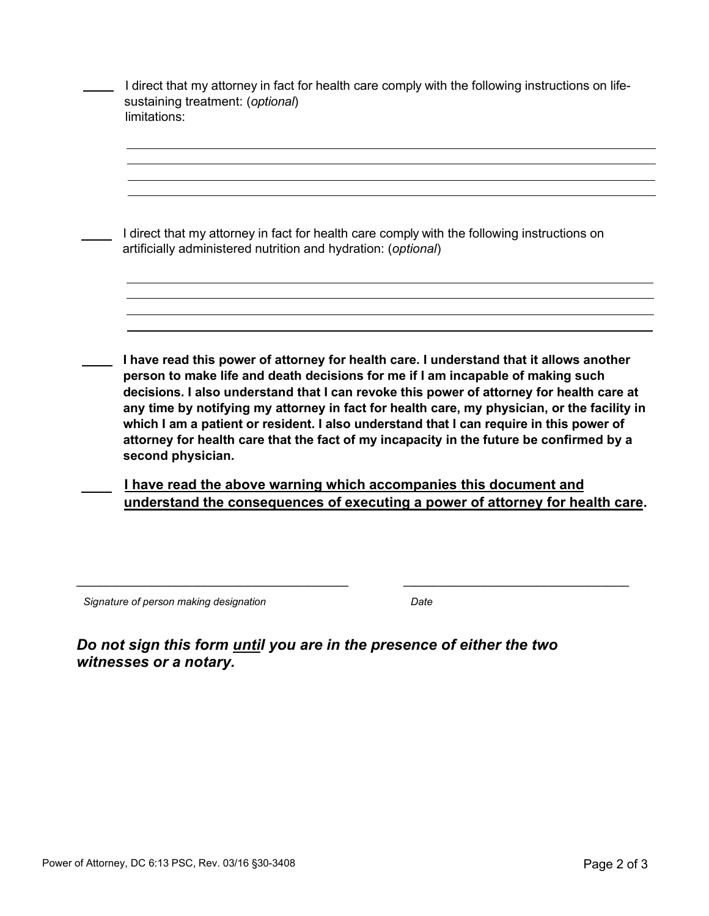| I direct that my attorney in fact for health care comply with the following instructions on<br>artificially administered nutrition and hydration: (optional)<br>I have read this power of attorney for health care. I understand that it allows another<br>person to make life and death decisions for me if I am incapable of making such<br>decisions. I also understand that I can revoke this power of attorney for health care at<br>any time by notifying my attorney in fact for health care, my physician, or the facility in<br>which I am a patient or resident. I also understand that I can require in this power of<br>attorney for health care that the fact of my incapacity in the future be confirmed by a<br>second physician. | sustaining treatment: (optional)<br>limitations: |
|--------------------------------------------------------------------------------------------------------------------------------------------------------------------------------------------------------------------------------------------------------------------------------------------------------------------------------------------------------------------------------------------------------------------------------------------------------------------------------------------------------------------------------------------------------------------------------------------------------------------------------------------------------------------------------------------------------------------------------------------------|--------------------------------------------------|
|                                                                                                                                                                                                                                                                                                                                                                                                                                                                                                                                                                                                                                                                                                                                                  |                                                  |
|                                                                                                                                                                                                                                                                                                                                                                                                                                                                                                                                                                                                                                                                                                                                                  |                                                  |
|                                                                                                                                                                                                                                                                                                                                                                                                                                                                                                                                                                                                                                                                                                                                                  |                                                  |
|                                                                                                                                                                                                                                                                                                                                                                                                                                                                                                                                                                                                                                                                                                                                                  |                                                  |
|                                                                                                                                                                                                                                                                                                                                                                                                                                                                                                                                                                                                                                                                                                                                                  |                                                  |

*Signature of person making designation Date*

*Do not sign this form until you are in the presence of either the two witnesses or a notary.* 

**\_\_\_\_\_\_\_\_\_\_\_\_\_\_\_\_\_\_\_\_\_\_\_\_\_\_\_\_\_\_\_\_\_\_\_\_\_\_\_\_\_\_\_\_\_\_\_ \_\_\_\_\_\_\_\_\_\_\_\_\_\_\_\_\_\_\_\_\_\_\_\_\_\_\_\_\_\_\_\_\_\_\_\_\_\_\_**